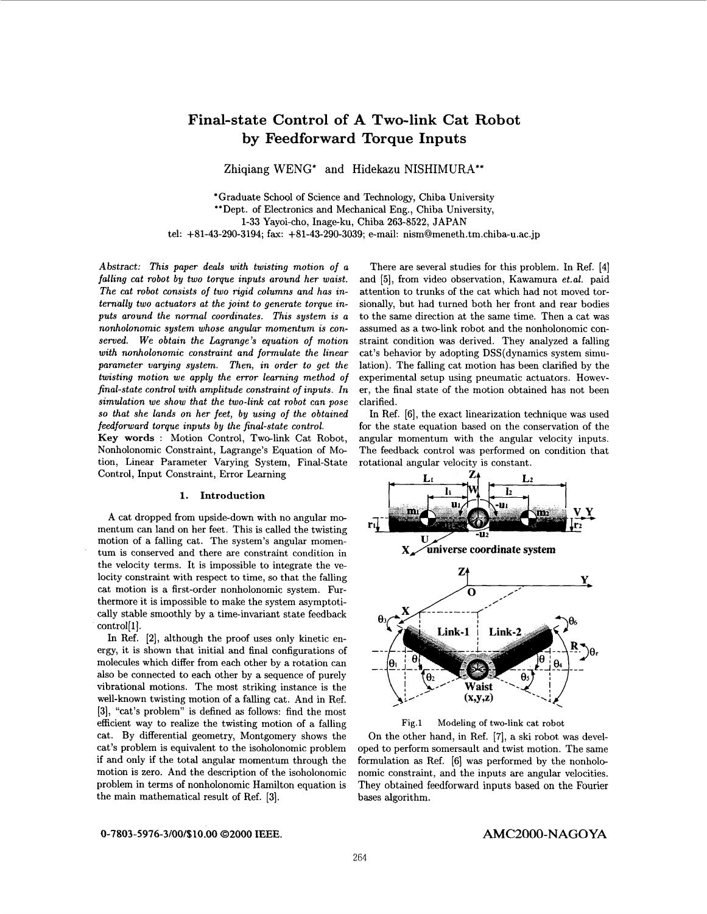# **Final-state Control of A Two-link Cat Robot by Feedforward Torque Inputs**

**Zhiqiang** WENG\* **and Hidekazu** NISHIMURA\*\*

\*Graduate School of Science and Technology, Chiba University \*\*Dept. of Electronics and Mechanical Eng., Chiba University, **1-33** Yayoi-cho, Inage-ku, Chiba **263-8522,** JAPAN tel: **+81-43-290-3194;** fax: **+81-43-290-3039;** e-mail: [nism@meneth.tm.chiba-u.ac.jp](mailto:nism@meneth.tm.chiba-u.ac.jp)

*Abstract: This paper deals with twisting motion of a falling cat robot by two torque inputs around her waist. The cat robot consists of two rigid columns and has internally two actuators at the joint to generate torque inputs around the normal coordinates. This system is a nonholonomic system whose angular momentum is conserved. We obtain the Lagrange's equation of motion with nonholonomic constraint and formulate the linear parameter varying system. Then, in order to get the twisting motion we apply the error learning method* **of**  *final-state control with amplitude constraint of inputs. In simulation we show that the two-link cat robot can pose*  **so** *that she lands on her feet, by using of the obtained feedforward torque inputs by the final-state control.* 

**Key words** : Motion Control, Two-link Cat Robot, Nonholonomic Constraint, Lagrange's Equation of Motion, Linear Parameter Varying System, Final-State Control, Input Constraint, Error Learning

# **1. Introduction**

**A** cat dropped from upside-down with no angular momentum can land on her feet. This is called the twisting motion of a falling cat. The system's angular momentum is conserved and there are constraint condition in the velocity terms. It is impossible to integrate the velocity constraint with respect to time, so that the falling cat motion is a first-order nonholonomic system. Furthermore it is impossible to make the system asymptotically stable smoothly by a time-invariant state feedback control[1].

In Ref. **[2],** although the proof uses only kinetic energy, it is shown that initial and final configurations of molecules which differ from each other by a rotation can also be connected to each other by a sequence of purely vibrational motions. The most striking instance is the well-known twisting motion of a falling cat. And in Ref. **[3],** "cat's problem" is defined **as** follows: find the most efficient way to realize the twisting motion of a falling cat. By differential geometry, Montgomery shows the cat's problem is equivalent to the isoholonomic problem if and only if the total angular momentum through the motion is zero. And the description of the isoholonomic problem in terms of nonholonomic Hamilton equation is the main mathematical result of Ref. **[3].** 

There are several studies for this problem. In Ref. **[4]**  and **[5],** from video observation, Kawamura *et.al.* paid attention to trunks of the cat which had not moved torsionally, but had turned both her front and rear bodies to the same direction at the same time. Then a cat was assumed as a two-link robot and the nonholonomic constraint condition was derived. They analyzed a falling cat's behavior by adopting DSS(dynamics system simulation). The falling cat motion has been clarified by the experimental setup using pneumatic actuators. However, the final state of the motion obtained has not been clarified.

In Ref. **[6],** the exact linearization technique was used for the state equation based on the conservation of the angular momentum with the angular velocity inputs. The feedback control was performed on condition that rotational angular velocity is constant.



**Fig.1 Modeling of two-link cat robot** 

On the other hand, in Ref. [7], a ski robot was developed to perform somersault and twist motion. The same formulation **as** Ref. **[6]** was performed by the nonholonomic constraint, and the inputs are angular velocities. They obtained feedforward inputs based on the Fourier bases algorithm.

*0-7803* **-5976-3/00/\$10 .OO** *02000* **IEEE. AMC2000-NAGOYA**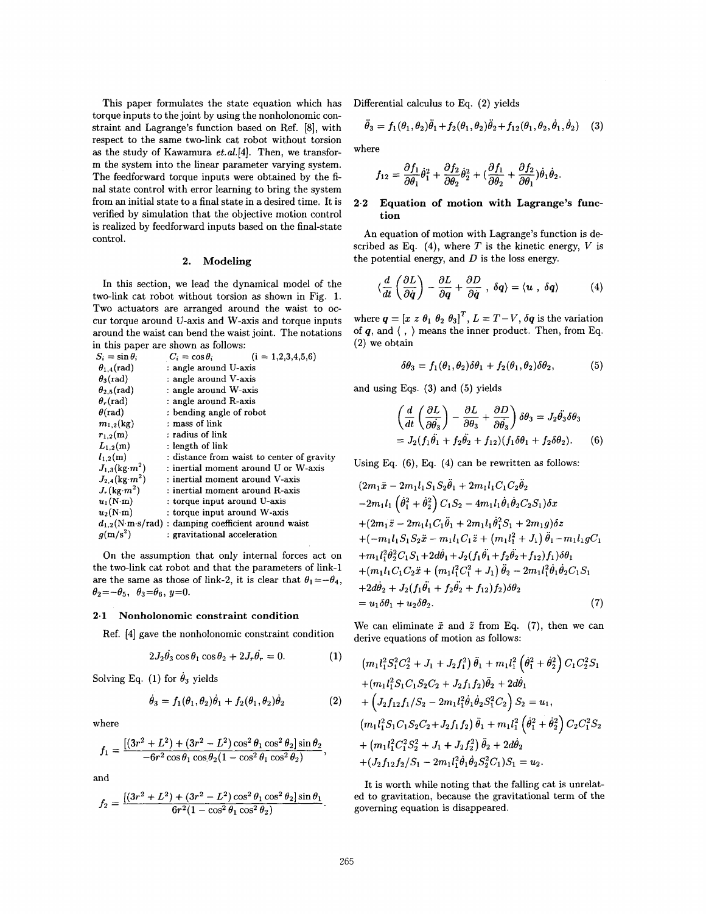This paper formulates the state equation which has torque inputs to the joint by using the nonholonomic constraint and Lagrange's function based on Ref. *[8],* with respect to the same two-link cat robot without torsion **as** the study of Kawamura *et.a1.[4].* Then, we transform the system into the linear parameter varying system. The feedforward torque inputs were obtained by the final state control with error learning to bring the system from an initial state to **a** final state in a desired time. It is verified by simulation that the objective motion control is realized by feedforward inputs based on the final-state control.

#### **2.** Modeling

In this section, we lead the dynamical model of the two-link cat robot without torsion **as** shown in Fig. **1.**  Two actuators are arranged around the waist to occur torque around U-axis and W-axis and torque inputs around the waist can bend the waist joint. The notations

| in this paper are shown as follows: |  |                                                                       |  |  |  |
|-------------------------------------|--|-----------------------------------------------------------------------|--|--|--|
| $S_i = \sin \theta_i$               |  | $C_i = \cos \theta_i$<br>$(i = 1, 2, 3, 4, 5, 6)$                     |  |  |  |
| $\theta_{1,4}$ (rad)                |  | : angle around U-axis                                                 |  |  |  |
| $\theta_3$ (rad)                    |  | : angle around V-axis                                                 |  |  |  |
| $\theta_{2,5}(\text{rad})$          |  | : angle around W-axis                                                 |  |  |  |
| $\theta_r$ (rad)                    |  | : angle around R-axis                                                 |  |  |  |
| $\theta$ (rad)                      |  | : bending angle of robot                                              |  |  |  |
| $m_{1,2}$ (kg)                      |  | : mass of link                                                        |  |  |  |
| $r_{1,2}(m)$                        |  | : radius of link                                                      |  |  |  |
| $L_{1,2}(m)$                        |  | : length of link                                                      |  |  |  |
| $l_{1,2}(m)$                        |  | : distance from waist to center of gravity                            |  |  |  |
| $J_{1,3}(\text{kg} \cdot m^2)$      |  | : inertial moment around ${\rm U}$ or ${\rm W}\textrm{-axis}$         |  |  |  |
| $J_{2,4}({\rm kg}\!\cdot\!m^2)$     |  | : inertial moment around V-axis                                       |  |  |  |
| $J_r(\text{kg}\cdot m^2)$           |  | : inertial moment around R-axis                                       |  |  |  |
| $u_1(N \cdot m)$                    |  | : torque input around U-axis                                          |  |  |  |
| $u_2(N \cdot m)$                    |  | : torque input around W-axis                                          |  |  |  |
|                                     |  | $d_{1,2}(N \cdot m \cdot s / rad)$ : damping coefficient around waist |  |  |  |
| $g(m/s^2)$                          |  | : gravitational acceleration                                          |  |  |  |
|                                     |  |                                                                       |  |  |  |

On the assumption that only internal forces act on the two-link cat robot and that the parameters of link-1 are the same as those of link-2, it is clear that  $\theta_1 = -\theta_4$ ,  $\theta_2 = -\theta_5$ ,  $\theta_3 = \theta_6$ ,  $y = 0$ .

### **2.1** Nonholonomic constraint condition

Ref. *[4]* gave the nonholonomic constraint condition

$$
2J_2\dot{\theta}_3\cos\theta_1\cos\theta_2 + 2J_r\dot{\theta}_r = 0.
$$
 (1)

Solving Eq.  $(1)$  for  $\dot{\theta}_3$  yields

$$
\dot{\theta}_3 = f_1(\theta_1, \theta_2)\dot{\theta}_1 + f_2(\theta_1, \theta_2)\dot{\theta}_2 \tag{2}
$$

where

$$
f_1 = \frac{[(3r^2 + L^2) + (3r^2 - L^2)\cos^2\theta_1\cos^2\theta_2]\sin\theta_2}{-6r^2\cos\theta_1\cos\theta_2(1 - \cos^2\theta_1\cos^2\theta_2)},
$$

and

$$
f_2 = \frac{[(3r^2 + L^2) + (3r^2 - L^2)\cos^2\theta_1\cos^2\theta_2]\sin\theta_1}{6r^2(1 - \cos^2\theta_1\cos^2\theta_2)}.
$$

Differential calculus to Eq. (2) yields

$$
\ddot{\theta}_3 = f_1(\theta_1, \theta_2)\ddot{\theta}_1 + f_2(\theta_1, \theta_2)\ddot{\theta}_2 + f_{12}(\theta_1, \theta_2, \dot{\theta}_1, \dot{\theta}_2)
$$
 (3)

where

$$
f_{12} = \frac{\partial f_1}{\partial \theta_1} \dot{\theta}_1^2 + \frac{\partial f_2}{\partial \theta_2} \dot{\theta}_2^2 + (\frac{\partial f_1}{\partial \theta_2} + \frac{\partial f_2}{\partial \theta_1}) \dot{\theta}_1 \dot{\theta}_2.
$$

# **2.2** Equation of motion with Lagrange's function

An equation of motion with Lagrange's function is described as Eq.  $(4)$ , where *T* is the kinetic energy, *V* is the potential energy, and *D* is the loss energy.

$$
\langle \frac{d}{dt} \left( \frac{\partial L}{\partial \dot{q}} \right) - \frac{\partial L}{\partial q} + \frac{\partial D}{\partial \dot{q}} \; , \; \delta q \rangle = \langle u \; , \; \delta q \rangle \tag{4}
$$

where  $q = [x \ z \ \theta_1 \ \theta_2 \ \theta_3]^T$ ,  $L = T - V$ ,  $\delta q$  is the variation of *q,* and ( , ) means the inner product. Then, from Eq. (2) we obtain

$$
\delta\theta_3 = f_1(\theta_1, \theta_2)\delta\theta_1 + f_2(\theta_1, \theta_2)\delta\theta_2, \tag{5}
$$

and using Eqs. **(3)** and **(5)** yields

$$
\left(\frac{d}{dt}\left(\frac{\partial L}{\partial \theta_3}\right) - \frac{\partial L}{\partial \theta_3} + \frac{\partial D}{\partial \theta_3}\right) \delta \theta_3 = J_2 \ddot{\theta_3} \delta \theta_3
$$
  
=  $J_2(f_1 \ddot{\theta_1} + f_2 \ddot{\theta_2} + f_{12})(f_1 \delta \theta_1 + f_2 \delta \theta_2).$  (6)

Using Eq.  $(6)$ , Eq.  $(4)$  can be rewritten as follows:

$$
(2m_1\ddot{x} - 2m_1l_1S_1S_2\theta_1 + 2m_1l_1C_1C_2\theta_2
$$
  
\n
$$
-2m_1l_1(\dot{\theta}_1^2 + \dot{\theta}_2^2) C_1S_2 - 4m_1l_1\dot{\theta}_1\dot{\theta}_2C_2S_1)\delta x
$$
  
\n
$$
+(2m_1\ddot{z} - 2m_1l_1C_1\ddot{\theta}_1 + 2m_1l_1\dot{\theta}_1^2S_1 + 2m_1g)\delta z
$$
  
\n
$$
+(-m_1l_1S_1S_2\ddot{x} - m_1l_1C_1\ddot{z} + (m_1l_1^2 + J_1)\ddot{\theta}_1 - m_1l_1gC_1
$$
  
\n
$$
+m_1l_1^2\dot{\theta}_2^2C_1S_1 + 2d\dot{\theta}_1 + J_2(f_1\ddot{\theta}_1 + f_2\ddot{\theta}_2 + f_{12})f_1)\delta\theta_1
$$
  
\n
$$
+(m_1l_1C_1C_2\ddot{x} + (m_1l_1^2C_1^2 + J_1)\ddot{\theta}_2 - 2m_1l_1^2\dot{\theta}_1\dot{\theta}_2C_1S_1
$$
  
\n
$$
+2d\dot{\theta}_2 + J_2(f_1\ddot{\theta}_1 + f_2\ddot{\theta}_2 + f_{12})f_2)\delta\theta_2
$$
  
\n
$$
= u_1\delta\theta_1 + u_2\delta\theta_2.
$$
  
\n(7)

We can eliminate  $\ddot{x}$  and  $\ddot{z}$  from Eq. (7), then we can derive equations of motion as follows:

$$
(m_1 l_1^2 S_1^2 C_2^2 + J_1 + J_2 f_1^2) \ddot{\theta}_1 + m_1 l_1^2 (\dot{\theta}_1^2 + \dot{\theta}_2^2) C_1 C_2^2 S_1
$$
  
+
$$
(m_1 l_1^2 S_1 C_1 S_2 C_2 + J_2 f_1 f_2) \ddot{\theta}_2 + 2 d \dot{\theta}_1
$$
  
+
$$
(J_2 f_{12} f_1 / S_2 - 2 m_1 l_1^2 \dot{\theta}_1 \dot{\theta}_2 S_1^2 C_2) S_2 = u_1,
$$
  

$$
(m_1 l_1^2 S_1 C_1 S_2 C_2 + J_2 f_1 f_2) \ddot{\theta}_1 + m_1 l_1^2 (\dot{\theta}_1^2 + \dot{\theta}_2^2) C_2 C_1^2 S_2
$$
  
+
$$
(m_1 l_1^2 C_1^2 S_2^2 + J_1 + J_2 f_2^2) \ddot{\theta}_2 + 2 d \dot{\theta}_2
$$
  
+
$$
(J_2 f_{12} f_2 / S_1 - 2 m_1 l_1^2 \dot{\theta}_1 \dot{\theta}_2 S_2^2 C_1) S_1 = u_2.
$$

It is worth while noting that the falling cat is unrelated to gravitation, because the gravitational term of the governing equation is disappeared.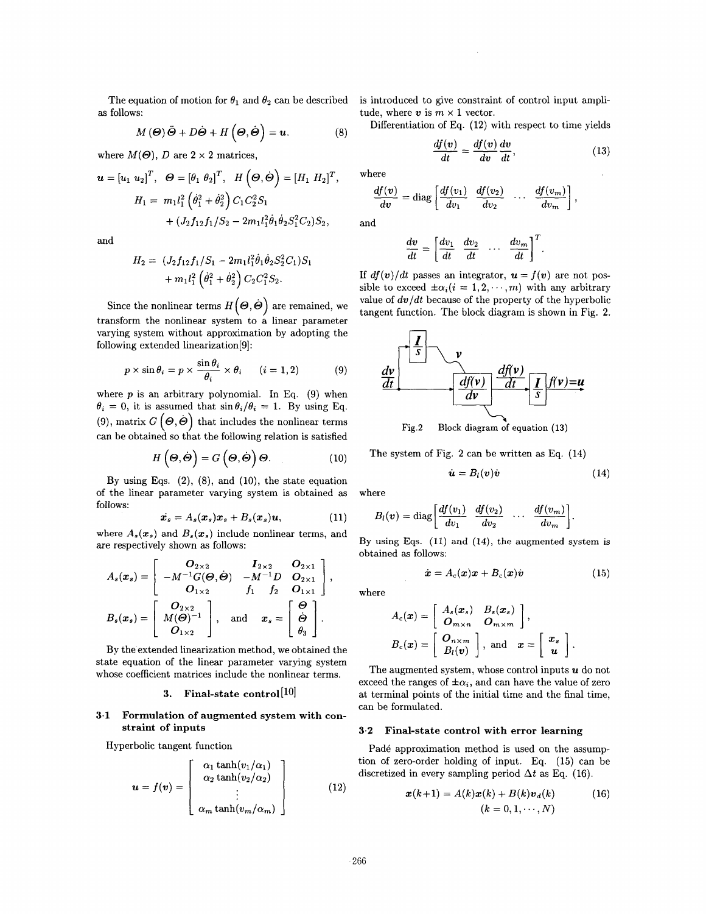The equation of motion for  $\theta_1$  and  $\theta_2$  can be described as follows:

$$
M(\Theta)\ddot{\Theta} + D\dot{\Theta} + H(\Theta,\dot{\Theta}) = \mathbf{u}.\tag{8}
$$

where  $M(\Theta)$ , *D* are  $2 \times 2$  matrices,

$$
\mathbf{u} = [u_1 \ u_2]^T, \quad \Theta = [\theta_1 \ \theta_2]^T, \quad H(\Theta, \dot{\Theta}) = [H_1 \ H_2]^T, \quad \text{wh}
$$
\n
$$
H_1 = m_1 l_1^2 \left( \dot{\theta}_1^2 + \dot{\theta}_2^2 \right) C_1 C_2^2 S_1 + (J_2 f_{12} f_1 / S_2 - 2m_1 l_1^2 \dot{\theta}_1 \dot{\theta}_2 S_1^2 C_2) S_2, \quad \text{and}
$$

and

$$
H_2 = (J_2 f_{12} f_1 / S_1 - 2m_1 l_1^2 \dot{\theta}_1 \dot{\theta}_2 S_2^2 C_1) S_1 + m_1 l_1^2 \left(\dot{\theta}_1^2 + \dot{\theta}_2^2\right) C_2 C_1^2 S_2.
$$

Since the nonlinear terms  $H\!\left(\boldsymbol{\varTheta},\dot{\boldsymbol{\varTheta}}\right)$  are remained, we transform the nonlinear system to a linear parameter varying system without approximation by adopting the following extended linearization[9] :

$$
p \times \sin \theta_i = p \times \frac{\sin \theta_i}{\theta_i} \times \theta_i \qquad (i = 1, 2) \tag{9}
$$

where  $p$  is an arbitrary polynomial. In Eq.  $(9)$  when  $\theta_i = 0$ , it is assumed that  $\sin \theta_i/\theta_i = 1$ . By using Eq. (9), matrix  $G\left(\mathbf{\Theta}, \dot{\mathbf{\Theta}}\right)$  that includes the nonlinear terms can be obtained so that the following relation is satisfied

$$
H\left(\boldsymbol{\Theta},\dot{\boldsymbol{\Theta}}\right)=G\left(\boldsymbol{\Theta},\dot{\boldsymbol{\Theta}}\right)\boldsymbol{\Theta}.\tag{10}
$$

By using Eqs. (2), (8), and **(lo),** the state equation of the linear parameter varying system is obtained as follows:

$$
\dot{x}_s = A_s(x_s)x_s + B_s(x_s)u, \qquad (11)
$$

where  $A_s(x_s)$  and  $B_s(x_s)$  include nonlinear terms, and *are* respectively shown **as** follows:

$$
A_s(x_s) = \begin{bmatrix} Q_{2\times 2} & I_{2\times 2} & Q_{2\times 1} \\ -M^{-1}G(\boldsymbol{\Theta}, \dot{\boldsymbol{\Theta}}) & -M^{-1}D & Q_{2\times 1} \\ Q_{1\times 2} & f_1 & f_2 & Q_{1\times 1} \end{bmatrix},
$$
  
\n
$$
B_s(x_s) = \begin{bmatrix} Q_{2\times 2} \\ M(\boldsymbol{\Theta})^{-1} \\ Q_{1\times 2} \end{bmatrix}, \text{ and } x_s = \begin{bmatrix} \boldsymbol{\Theta} \\ \boldsymbol{\Theta} \\ \theta_3 \end{bmatrix}.
$$

By the extended linearization method, we obtained the state equation of the linear parameter varying system whose coefficient matrices include the nonlinear terms.

# **3. Final-state control [lo]**

# **3.1 Formulation of augmented system with constraint of inputs**

Hyperbolic tangent function

$$
\mathbf{u} = f(\mathbf{v}) = \begin{bmatrix} \alpha_1 \tanh(v_1/\alpha_1) \\ \alpha_2 \tanh(v_2/\alpha_2) \\ \vdots \\ \alpha_m \tanh(v_m/\alpha_m) \end{bmatrix}
$$
 (12)

is introduced to give constraint of control input amplitude, where  $v$  is  $m \times 1$  vector.

Differentiation of Eq. (12) with respect to time yields

$$
\frac{df(v)}{dt} = \frac{df(v)}{dv}\frac{dv}{dt},\qquad(13)
$$

where

$$
\frac{df(v)}{dv} = \text{diag}\left[\frac{df(v_1)}{dv_1} \quad \frac{df(v_2)}{dv_2} \quad \cdots \quad \frac{df(v_m)}{dv_m}\right],
$$

and

$$
\frac{dv}{dt} = \left[\frac{dv_1}{dt} \quad \frac{dv_2}{dt} \quad \cdots \quad \frac{dv_m}{dt}\right]^T.
$$

If  $df(v)/dt$  passes an integrator,  $u = f(v)$  are not possible to exceed  $\pm \alpha_i (i = 1, 2, \dots, m)$  with any arbitrary value of  $dv/dt$  because of the property of the hyperbolic tangent function. The block diagram is shown in Fig. 2.



The system of Fig. **2** can be written as Eq. **(14)** 

$$
\dot{\boldsymbol{u}} = B_l(\boldsymbol{v}) \dot{\boldsymbol{v}} \tag{14}
$$

where

$$
B_l(v) = \text{diag}\left[\frac{df(v_1)}{dv_1} \quad \frac{df(v_2)}{dv_2} \quad \cdots \quad \frac{df(v_m)}{dv_m}\right].
$$

By using **Eqs. (11)** and **(14),** the augmented system is obtained **as** follows:

$$
\dot{\boldsymbol{x}} = A_c(\boldsymbol{x})\boldsymbol{x} + B_c(\boldsymbol{x})\dot{\boldsymbol{v}} \tag{15}
$$

where

$$
A_c(\boldsymbol{x}) = \begin{bmatrix} A_s(\boldsymbol{x}_s) & B_s(\boldsymbol{x}_s) \\ \boldsymbol{O}_{m \times n} & \boldsymbol{O}_{m \times m} \end{bmatrix},
$$
  

$$
B_c(\boldsymbol{x}) = \begin{bmatrix} \boldsymbol{O}_{n \times m} \\ B_l(\boldsymbol{v}) \end{bmatrix}, \text{ and } \boldsymbol{x} = \begin{bmatrix} \boldsymbol{x}_s \\ \boldsymbol{u} \end{bmatrix}.
$$

The augmented system, whose control inputs *U* do not exceed the ranges of  $\pm \alpha_i$ , and can have the value of zero at terminal points of the initial time and the final time, can be formulated.

#### **3.2 Final-state control with error learning**

Padé approximation method is used on the assumption of zero-order holding of input. Eq. (15) can be discretized in every sampling period  $\Delta t$  as Eq. (16).

$$
x(k+1) = A(k)x(k) + B(k)v_d(k)
$$
 (16)  

$$
(k = 0, 1, \dots, N)
$$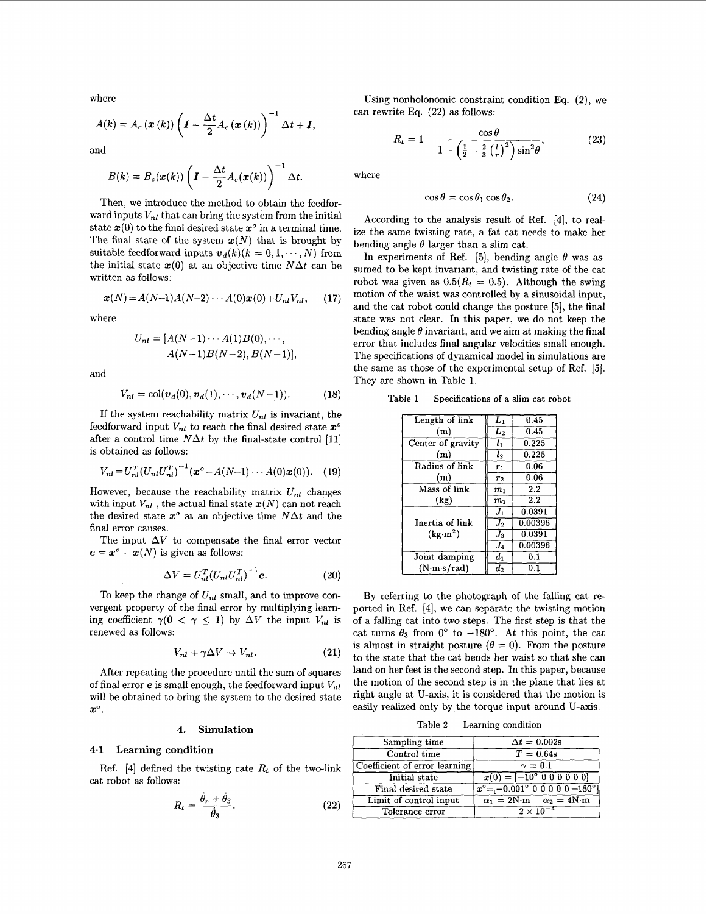<span id="page-3-0"></span>where

$$
A(k) = A_c (\boldsymbol{x} (k)) \left( \boldsymbol{I} - \frac{\Delta t}{2} A_c (\boldsymbol{x} (k)) \right)^{-1} \Delta t + \boldsymbol{I},
$$

and

$$
B(k) = B_c(\pmb{x}(k)) \left( \pmb{I} - \frac{\Delta t}{2} A_c(\pmb{x}(k)) \right)^{-1} \Delta t.
$$

Then, we introduce the method to obtain the feedforward inputs  $V_{nl}$  that can bring the system from the initial state  $x(0)$  to the final desired state  $x^{\circ}$  in a terminal time. The final state of the system  $x(N)$  that is brought by suitable feedforward inputs  $v_d(k)(k = 0, 1, \dots, N)$  from the initial state  $x(0)$  at an objective time  $N\Delta t$  can be written as follows:

$$
x(N) = A(N-1)A(N-2)\cdots A(0)x(0) + U_{nl}V_{nl}, \qquad (17)
$$

where

$$
U_{nl} = [A(N-1)\cdots A(1)B(0), \cdots, A(N-1)B(N-2), B(N-1)],
$$

and

$$
V_{nl} = \text{col}(v_d(0), v_d(1), \cdots, v_d(N-1)).
$$
 (18)

If the system reachability matrix  $U_{nl}$  is invariant, the feedforward input  $V_{nl}$  to reach the final desired state  $x^o$ after a control time  $N\Delta t$  by the final-state control [11] is obtained as follows:

$$
V_{nl} = U_{nl}^T (U_{nl} U_{nl}^T)^{-1} (\boldsymbol{x}^{\circ} - A(N-1) \cdots A(0) \boldsymbol{x}(0)). \quad (19)
$$

However, because the reachability matrix  $U_{nl}$  changes with input  $V_{nl}$ , the actual final state  $x(N)$  can not reach the desired state  $x^o$  at an objective time  $N\Delta t$  and the final error causes.

The input  $\Delta V$  to compensate the final error vector  $e = x^{\degree} - x(N)$  is given as follows:

$$
\Delta V = U_{nl}^T (U_{nl} U_{nl}^T)^{-1} e. \tag{20}
$$

To keep the change of  $U_{nl}$  small, and to improve convergent property of the final error by multiplying learning coefficient  $\gamma(0 < \gamma \leq 1)$  by  $\Delta V$  the input  $V_{nl}$  is renewed **as** follows:

$$
V_{nl} + \gamma \Delta V \to V_{nl}.\tag{21}
$$

After repeating the procedure until the sum of squares of final error  $e$  is small enough, the feedforward input  $V_{nl}$ will be obtained to bring the system to the desired state  $x^{\circ}$ .

#### **4. Simulation**

# **4.1 Learning condition**

cat robot **as** follows: Ref.  $[4]$  defined the twisting rate  $R_t$  of the two-link

$$
R_t = \frac{\dot{\theta}_r + \dot{\theta}_3}{\dot{\theta}_3}.
$$
 (22)

Using nonholonomic constraint condition Eq. **(2),** we can rewrite Eq. **(22)** as follows:

$$
R_t = 1 - \frac{\cos \theta}{1 - \left(\frac{1}{2} - \frac{2}{3} \left(\frac{l}{r}\right)^2\right) \sin^2 \theta},\tag{23}
$$

where

$$
\cos \theta = \cos \theta_1 \cos \theta_2. \tag{24}
$$

According to the analysis result of Ref. **[4],** to realize the same twisting rate, a fat cat needs to make her bending angle  $\theta$  larger than a slim cat.

In experiments of Ref. [5], bending angle  $\theta$  was assumed to be kept invariant, and twisting rate of the cat robot was given as  $0.5(R_t = 0.5)$ . Although the swing motion of the waist was controlled by a sinusoidal input, and the cat robot could change the posture **[5],** the final state was not clear. In this paper, we do not keep the bending angle  $\theta$  invariant, and we aim at making the final error that includes final angular velocities small enough. The specifications of dynamical model in simulations are the same as those of the experimental setup of Ref. *[5].*  They are shown in Table **1.** 

**Table 1 Specifications of a slim cat robot** 

| Length of link            | $L_1$          | 0.45    |
|---------------------------|----------------|---------|
| (m)                       | $L_{2}$        | 0.45    |
| Center of gravity         | $l_1$          | 0.225   |
| (m)                       | l <sub>2</sub> | 0.225   |
| Radius of link            | $r_1$          | 0.06    |
| (m)                       | r <sub>2</sub> | 0.06    |
| Mass of link              | m <sub>1</sub> | 2.2     |
| (kg)                      | m <sub>2</sub> | 2.2     |
|                           | $J_1$          | 0.0391  |
| Inertia of link           | $J_2$          | 0.00396 |
| (kg·m <sup>2</sup> )      | $J_3$          | 0.0391  |
|                           | $J_4$          | 0.00396 |
| Joint damping             | $d_1$          | 0.1     |
| $(N \cdot m \cdot s/rad)$ | $d_2$          | 0.1     |

By referring to the photograph of the falling cat reported in Ref. **[4],** we can separate the twisting motion of a falling cat into two steps. The first step is that the cat turns  $\theta_3$  from  $0^\circ$  to  $-180^\circ$ . At this point, the cat is almost in straight posture  $(\theta = 0)$ . From the posture to the state that the cat bends her waist so that she can land on her feet is the second step. In this paper, because the motion of the second step is in the plane that lies at right angle at U-axis, it is considered that the motion is easily realized only by the torque input around U-axis.

**Table 2 Learning condition** 

| Sampling time                 | $\Delta t = 0.002$ s                                                                      |
|-------------------------------|-------------------------------------------------------------------------------------------|
| Control time                  | $T = 0.64s$                                                                               |
| Coefficient of error learning | $\gamma=0.1$                                                                              |
| Initial state                 | $x(0) = [-10^{\circ} 0 0 0 0 0 0]$                                                        |
| Final desired state           | $x^{\circ} = \begin{bmatrix} -0.001^{\circ} & 0 & 0 & 0 & 0 & -180^{\circ} \end{bmatrix}$ |
| Limit of control input        | $\alpha_1 = 2N \cdot m$ $\alpha_2 = 4N \cdot m$                                           |
| Tolerance error               | $2 \times 10^{-7}$                                                                        |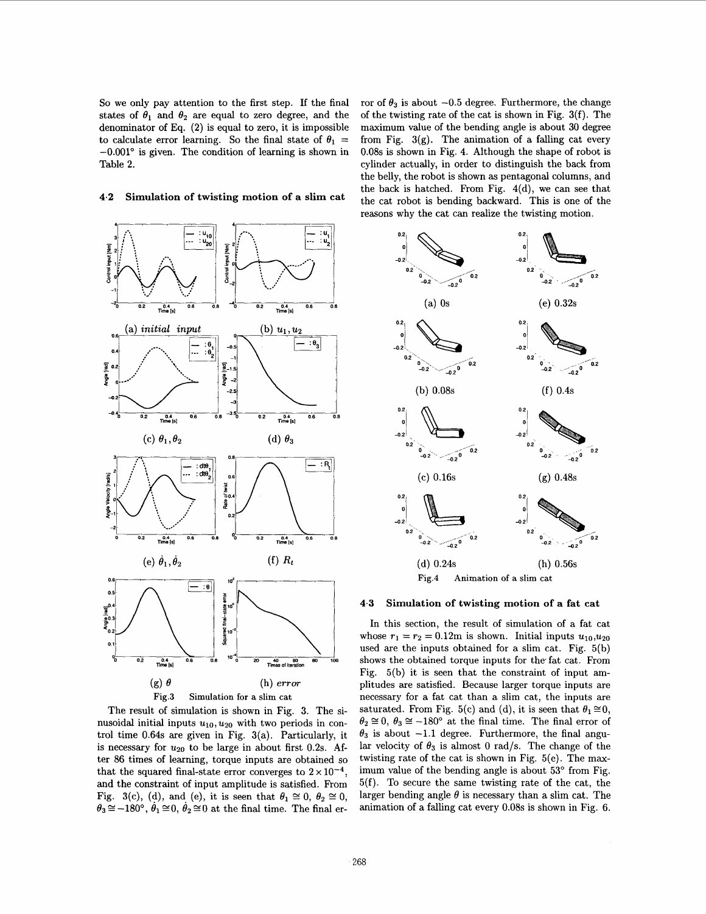So we only pay attention to the first step. If the final states of  $\theta_1$  and  $\theta_2$  are equal to zero degree, and the denominator of **Eq. (2)** is equal to zero, it is impossible to calculate error learning. So the final state of  $\theta_1$  =  $-0.001^{\circ}$  is given. The condition of learning is shown in [Table](#page-3-0) **2.** 

# **4.2 Simulation of twisting motion of a slim cat**



The result of simulation is shown in Fig. 3. The sinusoidal initial inputs  $u_{10}, u_{20}$  with two periods in control time **0.64s** are given in Fig. 3(a). Particularly, it is necessary for  $u_{20}$  to be large in about first 0.2s. After 86 times of learning, torque inputs are obtained so that the squared final-state error converges to  $2 \times 10^{-4}$ . and the constraint of input amplitude is satisfied. From Fig. 3(c), (d), and (e), it is seen that  $\theta_1 \cong 0$ ,  $\theta_2 \cong 0$ ,  $\theta_3 \approx -180^\circ$ ,  $\theta_1 \approx 0$ ,  $\theta_2 \approx 0$  at the final time. The final error of  $\theta_3$  is about  $-0.5$  degree. Furthermore, the change of the twisting rate of the cat is shown in Fig. 3(f). The maximum value of the bending angle is about 30 degree from Fig.  $3(g)$ . The animation of a falling cat every 0.08s is shown in Fig. **4.** Although the shape of robot is cylinder actually, in order to distinguish the back from the belly, the robot is shown **as** pentagonal columns, and the back is hatched. From Fig.  $4(d)$ , we can see that the cat robot is bending backward. This is one of the reasons why the cat can realize the twisting motion.



#### **4.3 Simulation of twisting motion of a fat cat**

In this section, the result of simulation of a fat cat whose  $r_1 = r_2 = 0.12$ m is shown. Initial inputs  $u_{10}, u_{20}$ used are the inputs obtained for a slim cat. Fig. 5(b) shows the obtained torque inputs for the fat cat. From Fig. 5(b) it is seen that the constraint of input amplitudes are satisfied. Because larger torque inputs are necessary for a fat cat than a slim cat, the inputs are saturated. From Fig. 5(c) and (d), it is seen that  $\theta_1 \cong 0$ ,  $\theta_2 \approx 0$ ,  $\theta_3 \approx -180^\circ$  at the final time. The final error of  $\theta_3$  is about  $-1.1$  degree. Furthermore, the final angular velocity of  $\theta_3$  is almost 0 rad/s. The change of the twisting rate of the cat is shown in Fig. 5(e). The maximum value of the bending angle is about  $53^{\circ}$  from Fig. 5(f). To secure the same twisting rate of the cat, the larger bending angle  $\theta$  is necessary than a slim cat. The animation of a falling cat every 0.08s is shown in Fig. **6.**